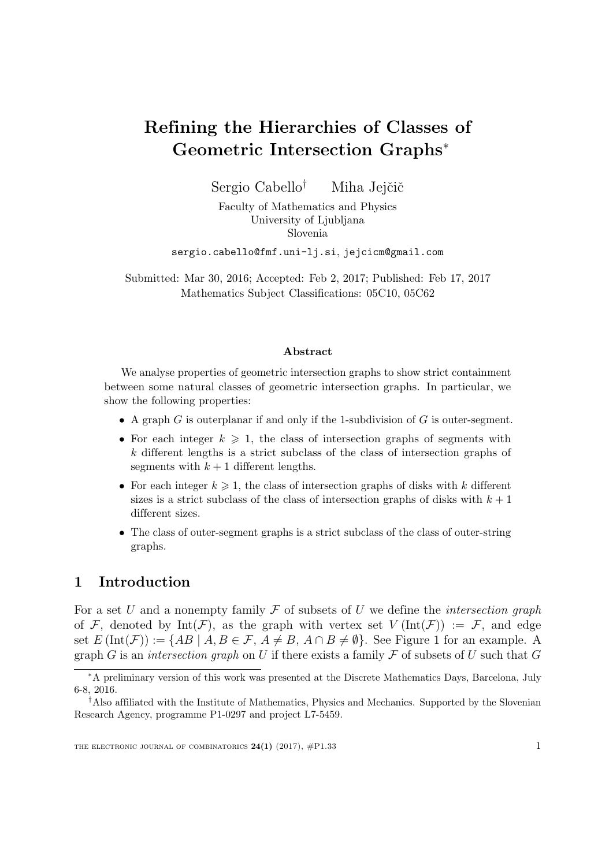# Refining the Hierarchies of Classes of Geometric Intersection Graphs<sup>∗</sup>

Sergio Cabello<sup>†</sup> Miha Jejčič

Faculty of Mathematics and Physics University of Ljubljana Slovenia

sergio.cabello@fmf.uni-lj.si, jejcicm@gmail.com

Submitted: Mar 30, 2016; Accepted: Feb 2, 2017; Published: Feb 17, 2017 Mathematics Subject Classifications: 05C10, 05C62

#### Abstract

We analyse properties of geometric intersection graphs to show strict containment between some natural classes of geometric intersection graphs. In particular, we show the following properties:

- A graph  $G$  is outerplanar if and only if the 1-subdivision of  $G$  is outer-segment.
- For each integer  $k \geqslant 1$ , the class of intersection graphs of segments with k different lengths is a strict subclass of the class of intersection graphs of segments with  $k+1$  different lengths.
- For each integer  $k \geqslant 1$ , the class of intersection graphs of disks with k different sizes is a strict subclass of the class of intersection graphs of disks with  $k + 1$ different sizes.
- The class of outer-segment graphs is a strict subclass of the class of outer-string graphs.

## 1 Introduction

For a set U and a nonempty family  $\mathcal F$  of subsets of U we define the *intersection graph* of F, denoted by Int(F), as the graph with vertex set  $V(\text{Int}(F)) := \mathcal{F}$ , and edge set  $E(\text{Int}(\mathcal{F})) := \{ AB \mid A, B \in \mathcal{F}, A \neq B, A \cap B \neq \emptyset \}.$  See Figure [1](#page-1-0) for an example. A graph G is an intersection graph on U if there exists a family  $\mathcal F$  of subsets of U such that G

<sup>∗</sup>A preliminary version of this work was presented at the Discrete Mathematics Days, Barcelona, July 6-8, 2016.

<sup>†</sup>Also affiliated with the Institute of Mathematics, Physics and Mechanics. Supported by the Slovenian Research Agency, programme P1-0297 and project L7-5459.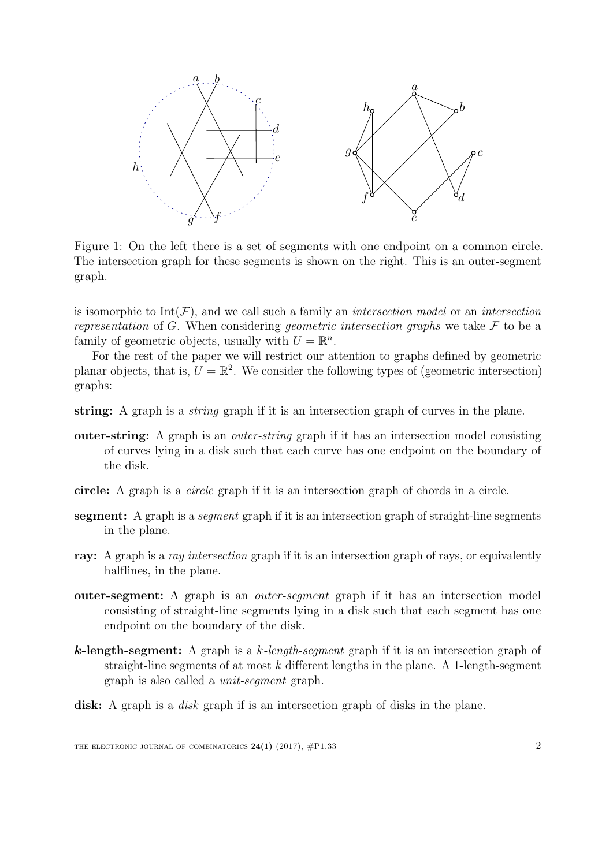

<span id="page-1-0"></span>Figure 1: On the left there is a set of segments with one endpoint on a common circle. The intersection graph for these segments is shown on the right. This is an outer-segment graph.

is isomorphic to  $Int(\mathcal{F})$ , and we call such a family an *intersection model* or an *intersection* representation of G. When considering geometric intersection graphs we take  $\mathcal F$  to be a family of geometric objects, usually with  $U = \mathbb{R}^n$ .

For the rest of the paper we will restrict our attention to graphs defined by geometric planar objects, that is,  $U = \mathbb{R}^2$ . We consider the following types of (geometric intersection) graphs:

- string: A graph is a *string* graph if it is an intersection graph of curves in the plane.
- outer-string: A graph is an outer-string graph if it has an intersection model consisting of curves lying in a disk such that each curve has one endpoint on the boundary of the disk.
- circle: A graph is a circle graph if it is an intersection graph of chords in a circle.
- segment: A graph is a *seqment* graph if it is an intersection graph of straight-line segments in the plane.
- ray: A graph is a ray intersection graph if it is an intersection graph of rays, or equivalently halflines, in the plane.
- outer-segment: A graph is an outer-segment graph if it has an intersection model consisting of straight-line segments lying in a disk such that each segment has one endpoint on the boundary of the disk.
- **k-length-segment:** A graph is a k-length-segment graph if it is an intersection graph of straight-line segments of at most  $k$  different lengths in the plane. A 1-length-segment graph is also called a unit-segment graph.
- disk: A graph is a *disk* graph if is an intersection graph of disks in the plane.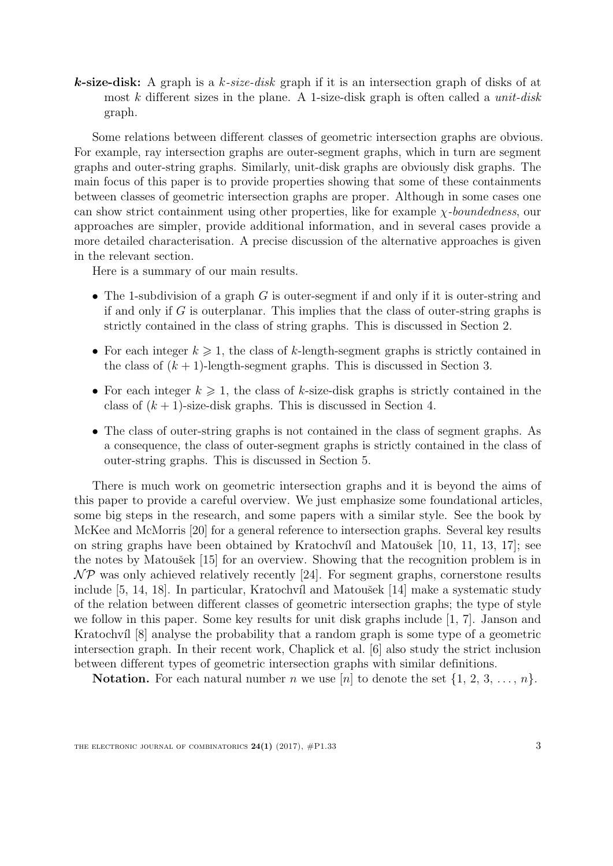**k-size-disk:** A graph is a k-size-disk graph if it is an intersection graph of disks of at most k different sizes in the plane. A 1-size-disk graph is often called a *unit-disk* graph.

Some relations between different classes of geometric intersection graphs are obvious. For example, ray intersection graphs are outer-segment graphs, which in turn are segment graphs and outer-string graphs. Similarly, unit-disk graphs are obviously disk graphs. The main focus of this paper is to provide properties showing that some of these containments between classes of geometric intersection graphs are proper. Although in some cases one can show strict containment using other properties, like for example  $\chi$ -boundedness, our approaches are simpler, provide additional information, and in several cases provide a more detailed characterisation. A precise discussion of the alternative approaches is given in the relevant section.

Here is a summary of our main results.

- The 1-subdivision of a graph G is outer-segment if and only if it is outer-string and if and only if  $G$  is outerplanar. This implies that the class of outer-string graphs is strictly contained in the class of string graphs. This is discussed in Section [2.](#page-3-0)
- For each integer  $k \geq 1$ , the class of k-length-segment graphs is strictly contained in the class of  $(k + 1)$ -length-segment graphs. This is discussed in Section [3.](#page-7-0)
- For each integer  $k \geq 1$ , the class of k-size-disk graphs is strictly contained in the class of  $(k + 1)$ -size-disk graphs. This is discussed in Section [4.](#page-11-0)
- The class of outer-string graphs is not contained in the class of segment graphs. As a consequence, the class of outer-segment graphs is strictly contained in the class of outer-string graphs. This is discussed in Section [5.](#page-13-0)

There is much work on geometric intersection graphs and it is beyond the aims of this paper to provide a careful overview. We just emphasize some foundational articles, some big steps in the research, and some papers with a similar style. See the book by McKee and McMorris [\[20\]](#page-17-0) for a general reference to intersection graphs. Several key results on string graphs have been obtained by Kratochvíl and Matoušek  $[10, 11, 13, 17]$  $[10, 11, 13, 17]$  $[10, 11, 13, 17]$  $[10, 11, 13, 17]$  $[10, 11, 13, 17]$  $[10, 11, 13, 17]$  $[10, 11, 13, 17]$ ; see the notes by Matoušek [\[15\]](#page-17-5) for an overview. Showing that the recognition problem is in  $\mathcal{NP}$  was only achieved relatively recently [\[24\]](#page-17-6). For segment graphs, cornerstone results include [\[5,](#page-16-0) [14,](#page-17-7) [18\]](#page-17-8). In particular, Kratochvíl and Matoušek [\[14\]](#page-17-7) make a systematic study of the relation between different classes of geometric intersection graphs; the type of style we follow in this paper. Some key results for unit disk graphs include [\[1,](#page-16-1) [7\]](#page-16-2). Janson and Kratochvíl [\[8\]](#page-17-9) analyse the probability that a random graph is some type of a geometric intersection graph. In their recent work, Chaplick et al. [\[6\]](#page-16-3) also study the strict inclusion between different types of geometric intersection graphs with similar definitions.

**Notation.** For each natural number n we use  $[n]$  to denote the set  $\{1, 2, 3, \ldots, n\}$ .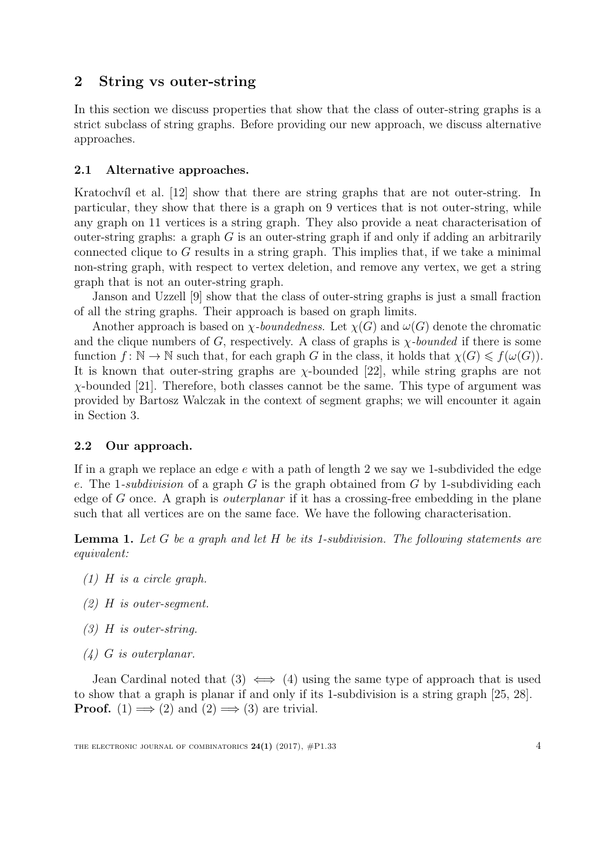## <span id="page-3-0"></span>2 String vs outer-string

In this section we discuss properties that show that the class of outer-string graphs is a strict subclass of string graphs. Before providing our new approach, we discuss alternative approaches.

#### <span id="page-3-2"></span>2.1 Alternative approaches.

Kratochvíl et al. [\[12\]](#page-17-10) show that there are string graphs that are not outer-string. In particular, they show that there is a graph on 9 vertices that is not outer-string, while any graph on 11 vertices is a string graph. They also provide a neat characterisation of outer-string graphs: a graph  $G$  is an outer-string graph if and only if adding an arbitrarily connected clique to  $G$  results in a string graph. This implies that, if we take a minimal non-string graph, with respect to vertex deletion, and remove any vertex, we get a string graph that is not an outer-string graph.

Janson and Uzzell [\[9\]](#page-17-11) show that the class of outer-string graphs is just a small fraction of all the string graphs. Their approach is based on graph limits.

Another approach is based on  $\chi$ -boundedness. Let  $\chi(G)$  and  $\omega(G)$  denote the chromatic and the clique numbers of G, respectively. A class of graphs is  $\chi$ -bounded if there is some function  $f: \mathbb{N} \to \mathbb{N}$  such that, for each graph G in the class, it holds that  $\chi(G) \leq f(\omega(G))$ . It is known that outer-string graphs are  $\chi$ -bounded [\[22\]](#page-17-12), while string graphs are not  $\chi$ -bounded [\[21\]](#page-17-13). Therefore, both classes cannot be the same. This type of argument was provided by Bartosz Walczak in the context of segment graphs; we will encounter it again in Section [3.](#page-7-0)

#### 2.2 Our approach.

If in a graph we replace an edge  $e$  with a path of length 2 we say we 1-subdivided the edge e. The 1-subdivision of a graph  $G$  is the graph obtained from  $G$  by 1-subdividing each edge of G once. A graph is *outerplanar* if it has a crossing-free embedding in the plane such that all vertices are on the same face. We have the following characterisation.

<span id="page-3-1"></span>**Lemma 1.** Let G be a graph and let H be its 1-subdivision. The following statements are equivalent:

- $(1)$  H is a circle graph.
- (2) H is outer-segment.
- (3) H is outer-string.
- (4) G is outerplanar.

Jean Cardinal noted that  $(3) \iff (4)$  using the same type of approach that is used to show that a graph is planar if and only if its 1-subdivision is a string graph [\[25,](#page-18-0) [28\]](#page-18-1). **Proof.** (1)  $\implies$  (2) and (2)  $\implies$  (3) are trivial.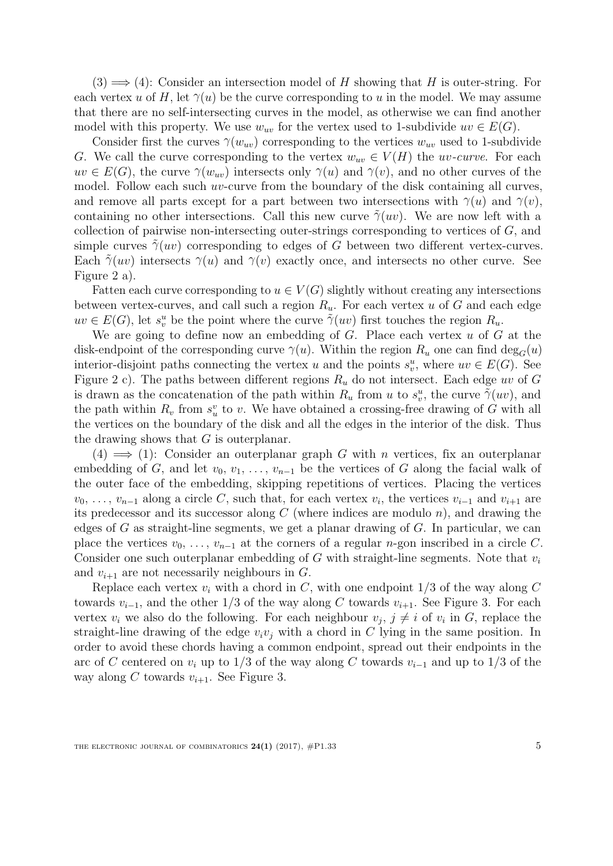$(3) \implies (4)$ : Consider an intersection model of H showing that H is outer-string. For each vertex u of H, let  $\gamma(u)$  be the curve corresponding to u in the model. We may assume that there are no self-intersecting curves in the model, as otherwise we can find another model with this property. We use  $w_{uv}$  for the vertex used to 1-subdivide  $uv \in E(G)$ .

Consider first the curves  $\gamma(w_{uv})$  corresponding to the vertices  $w_{uv}$  used to 1-subdivide G. We call the curve corresponding to the vertex  $w_{uv} \in V(H)$  the uv-curve. For each  $uv \in E(G)$ , the curve  $\gamma(w_{uv})$  intersects only  $\gamma(u)$  and  $\gamma(v)$ , and no other curves of the model. Follow each such  $uv$ -curve from the boundary of the disk containing all curves, and remove all parts except for a part between two intersections with  $\gamma(u)$  and  $\gamma(v)$ , containing no other intersections. Call this new curve  $\tilde{\gamma}(uv)$ . We are now left with a collection of pairwise non-intersecting outer-strings corresponding to vertices of G, and simple curves  $\tilde{\gamma}(uv)$  corresponding to edges of G between two different vertex-curves. Each  $\tilde{\gamma}(uv)$  intersects  $\gamma(u)$  and  $\gamma(v)$  exactly once, and intersects no other curve. See Figure [2](#page-5-0) a).

Fatten each curve corresponding to  $u \in V(G)$  slightly without creating any intersections between vertex-curves, and call such a region  $R_u$ . For each vertex u of G and each edge  $uv \in E(G)$ , let  $s_v^u$  be the point where the curve  $\tilde{\gamma}(uv)$  first touches the region  $R_u$ .

We are going to define now an embedding of  $G$ . Place each vertex  $u$  of  $G$  at the disk-endpoint of the corresponding curve  $\gamma(u)$ . Within the region  $R_u$  one can find  $\deg_G(u)$ interior-disjoint paths connecting the vertex u and the points  $s_v^u$ , where  $uv \in E(G)$ . See Figure [2](#page-5-0) c). The paths between different regions  $R_u$  do not intersect. Each edge uv of G is drawn as the concatenation of the path within  $R_u$  from u to  $s_v^u$ , the curve  $\tilde{\gamma}(uv)$ , and the path within  $R_v$  from  $s_u^v$  to v. We have obtained a crossing-free drawing of G with all the vertices on the boundary of the disk and all the edges in the interior of the disk. Thus the drawing shows that  $G$  is outerplanar.

 $(4) \implies (1)$ : Consider an outerplanar graph G with n vertices, fix an outerplanar embedding of G, and let  $v_0, v_1, \ldots, v_{n-1}$  be the vertices of G along the facial walk of the outer face of the embedding, skipping repetitions of vertices. Placing the vertices  $v_0, \ldots, v_{n-1}$  along a circle C, such that, for each vertex  $v_i$ , the vertices  $v_{i-1}$  and  $v_{i+1}$  are its predecessor and its successor along  $C$  (where indices are modulo  $n$ ), and drawing the edges of  $G$  as straight-line segments, we get a planar drawing of  $G$ . In particular, we can place the vertices  $v_0, \ldots, v_{n-1}$  at the corners of a regular n-gon inscribed in a circle C. Consider one such outerplanar embedding of G with straight-line segments. Note that  $v_i$ and  $v_{i+1}$  are not necessarily neighbours in G.

Replace each vertex  $v_i$  with a chord in C, with one endpoint  $1/3$  of the way along C towards  $v_{i-1}$ , and the other 1/3 of the way along C towards  $v_{i+1}$ . See Figure [3.](#page-6-0) For each vertex  $v_i$  we also do the following. For each neighbour  $v_j$ ,  $j \neq i$  of  $v_i$  in  $G$ , replace the straight-line drawing of the edge  $v_i v_j$  with a chord in C lying in the same position. In order to avoid these chords having a common endpoint, spread out their endpoints in the arc of C centered on  $v_i$  up to 1/3 of the way along C towards  $v_{i-1}$  and up to 1/3 of the way along C towards  $v_{i+1}$ . See Figure [3.](#page-6-0)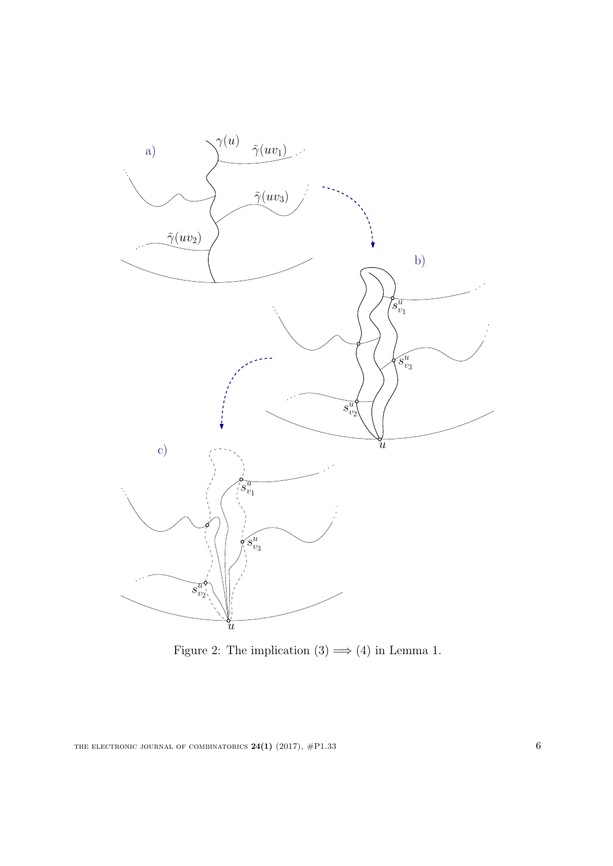

<span id="page-5-0"></span>Figure 2: The implication  $(3) \Longrightarrow (4)$  in Lemma [1.](#page-3-1)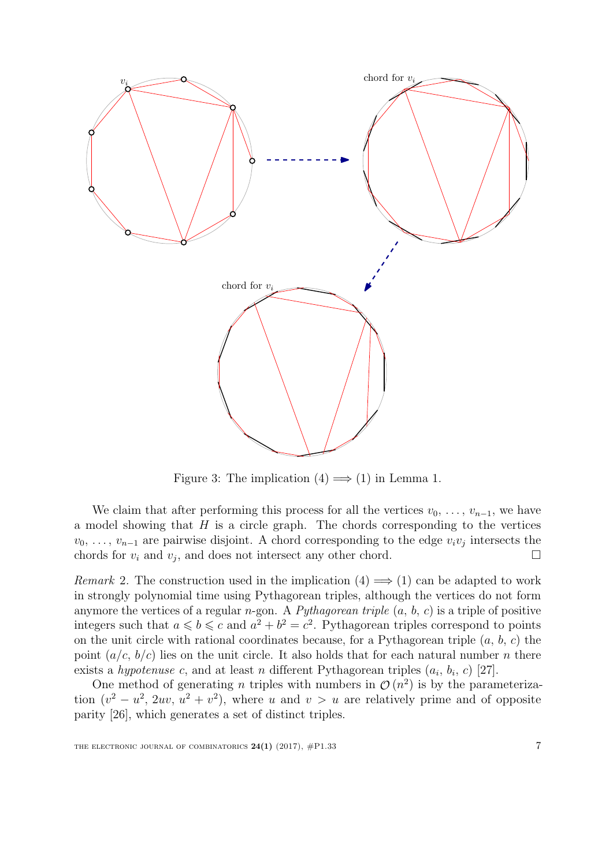

<span id="page-6-0"></span>Figure 3: The implication  $(4) \implies (1)$  in Lemma [1.](#page-3-1)

We claim that after performing this process for all the vertices  $v_0, \ldots, v_{n-1}$ , we have a model showing that  $H$  is a circle graph. The chords corresponding to the vertices  $v_0, \ldots, v_{n-1}$  are pairwise disjoint. A chord corresponding to the edge  $v_i v_j$  intersects the chords for  $v_i$  and  $v_j$ , and does not intersect any other chord.

Remark 2. The construction used in the implication  $(4) \implies (1)$  can be adapted to work in strongly polynomial time using Pythagorean triples, although the vertices do not form anymore the vertices of a regular *n*-gon. A *Pythagorean triple*  $(a, b, c)$  is a triple of positive integers such that  $a \leq b \leq c$  and  $a^2 + b^2 = c^2$ . Pythagorean triples correspond to points on the unit circle with rational coordinates because, for a Pythagorean triple  $(a, b, c)$  the point  $(a/c, b/c)$  lies on the unit circle. It also holds that for each natural number n there exists a *hypotenuse* c, and at least n different Pythagorean triples  $(a_i, b_i, c)$  [\[27\]](#page-18-2).

One method of generating *n* triples with numbers in  $\mathcal{O}(n^2)$  is by the parameterization  $(v^2 - u^2, 2uv, u^2 + v^2)$ , where u and  $v > u$  are relatively prime and of opposite parity [\[26\]](#page-18-3), which generates a set of distinct triples.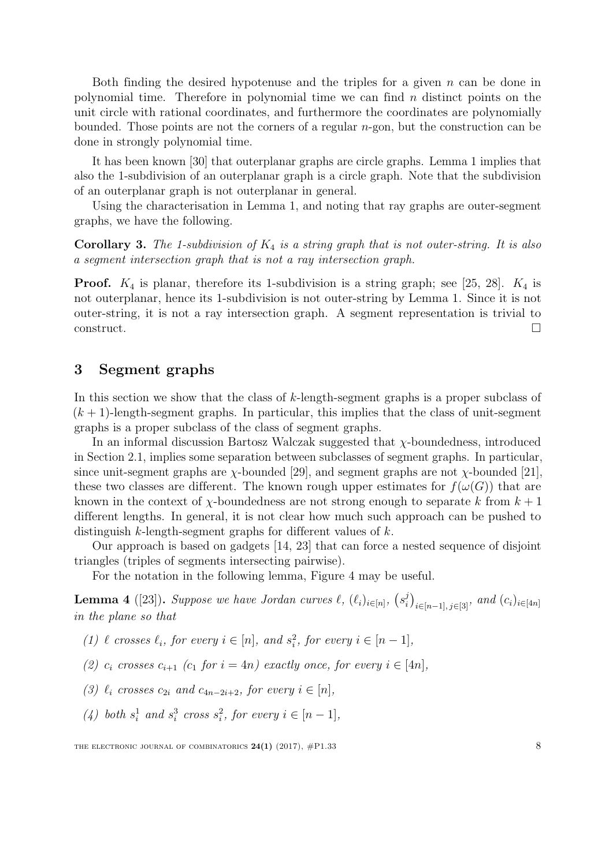Both finding the desired hypotenuse and the triples for a given  $n$  can be done in polynomial time. Therefore in polynomial time we can find  $n$  distinct points on the unit circle with rational coordinates, and furthermore the coordinates are polynomially bounded. Those points are not the corners of a regular  $n$ -gon, but the construction can be done in strongly polynomial time.

It has been known [\[30\]](#page-18-4) that outerplanar graphs are circle graphs. Lemma [1](#page-3-1) implies that also the 1-subdivision of an outerplanar graph is a circle graph. Note that the subdivision of an outerplanar graph is not outerplanar in general.

Using the characterisation in Lemma [1,](#page-3-1) and noting that ray graphs are outer-segment graphs, we have the following.

**Corollary 3.** The 1-subdivision of  $K_4$  is a string graph that is not outer-string. It is also a segment intersection graph that is not a ray intersection graph.

**Proof.**  $K_4$  is planar, therefore its 1-subdivision is a string graph; see [\[25,](#page-18-0) [28\]](#page-18-1).  $K_4$  is not outerplanar, hence its 1-subdivision is not outer-string by Lemma [1.](#page-3-1) Since it is not outer-string, it is not a ray intersection graph. A segment representation is trivial to  $\Box$ construct.

## <span id="page-7-0"></span>3 Segment graphs

In this section we show that the class of k-length-segment graphs is a proper subclass of  $(k+1)$ -length-segment graphs. In particular, this implies that the class of unit-segment graphs is a proper subclass of the class of segment graphs.

In an informal discussion Bartosz Walczak suggested that  $\chi$ -boundedness, introduced in Section [2.1,](#page-3-2) implies some separation between subclasses of segment graphs. In particular, since unit-segment graphs are  $\chi$ -bounded [\[29\]](#page-18-5), and segment graphs are not  $\chi$ -bounded [\[21\]](#page-17-13), these two classes are different. The known rough upper estimates for  $f(\omega(G))$  that are known in the context of  $\chi$ -boundedness are not strong enough to separate k from  $k+1$ different lengths. In general, it is not clear how much such approach can be pushed to distinguish k-length-segment graphs for different values of k.

Our approach is based on gadgets [\[14,](#page-17-7) [23\]](#page-17-14) that can force a nested sequence of disjoint triangles (triples of segments intersecting pairwise).

For the notation in the following lemma, Figure [4](#page-8-0) may be useful.

<span id="page-7-1"></span>**Lemma 4** ([\[23\]](#page-17-14)). Suppose we have Jordan curves  $\ell$ ,  $(\ell_i)_{i \in [n]},$   $(s_i^j)$  $\binom{j}{i}_{i \in [n-1], j \in [3]}$ , and  $(c_i)_{i \in [4n]}$ in the plane so that

- (1)  $\ell$  crosses  $\ell_i$ , for every  $i \in [n]$ , and  $s_i^2$ , for every  $i \in [n-1]$ ,
- (2)  $c_i$  crosses  $c_{i+1}$  ( $c_1$  for  $i = 4n$ ) exactly once, for every  $i \in [4n]$ ,
- (3)  $\ell_i$  crosses  $c_{2i}$  and  $c_{4n-2i+2}$ , for every  $i \in [n]$ ,
- (4) both  $s_i^1$  and  $s_i^3$  cross  $s_i^2$ , for every  $i \in [n-1]$ ,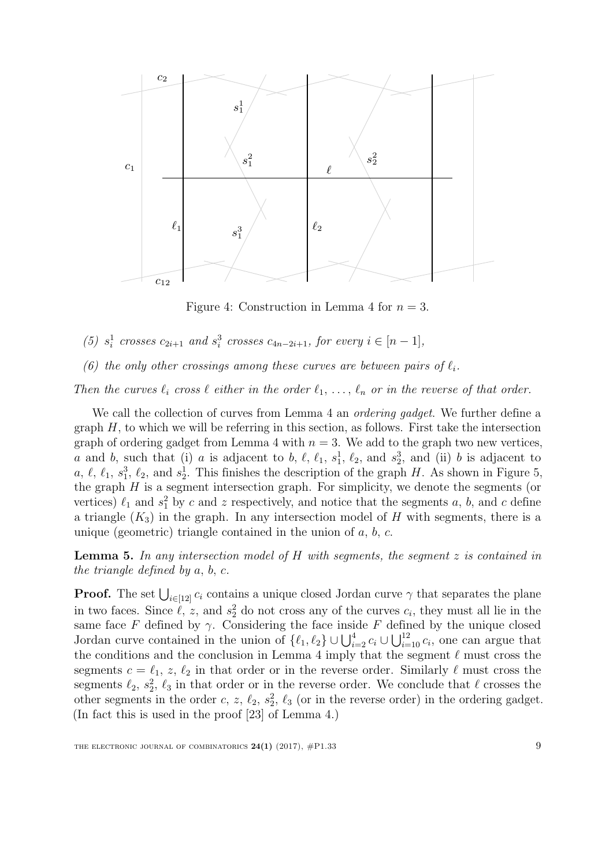

<span id="page-8-0"></span>Figure [4](#page-7-1): Construction in Lemma 4 for  $n = 3$ .

- (5)  $s_i^1$  crosses  $c_{2i+1}$  and  $s_i^3$  crosses  $c_{4n-2i+1}$ , for every  $i \in [n-1]$ ,
- (6) the only other crossings among these curves are between pairs of  $\ell_i$ .

Then the curves  $\ell_i$  cross  $\ell$  either in the order  $\ell_1, \ldots, \ell_n$  or in the reverse of that order.

We call the collection of curves from Lemma [4](#page-7-1) an *ordering gadget*. We further define a graph  $H$ , to which we will be referring in this section, as follows. First take the intersection graph of ordering gadget from Lemma [4](#page-7-1) with  $n = 3$ . We add to the graph two new vertices, a and b, such that (i) a is adjacent to b,  $\ell$ ,  $\ell_1$ ,  $s_1^1$ ,  $\ell_2$ , and  $s_2^3$ , and (ii) b is adjacent to  $a, \ell, \ell_1, s_1^3, \ell_2$ , and  $s_2^1$ . This finishes the description of the graph H. As shown in Figure [5,](#page-9-0) the graph  $H$  is a segment intersection graph. For simplicity, we denote the segments (or vertices)  $\ell_1$  and  $s_1^2$  by c and z respectively, and notice that the segments a, b, and c define a triangle  $(K_3)$  in the graph. In any intersection model of H with segments, there is a unique (geometric) triangle contained in the union of  $a, b, c$ .

<span id="page-8-1"></span>**Lemma 5.** In any intersection model of H with segments, the segment  $z$  is contained in the triangle defined by a, b, c.

**Proof.** The set  $\bigcup_{i\in[12]}c_i$  contains a unique closed Jordan curve  $\gamma$  that separates the plane in two faces. Since  $\ell, z$ , and  $s_2^2$  do not cross any of the curves  $c_i$ , they must all lie in the same face F defined by  $\gamma$ . Considering the face inside F defined by the unique closed Jordan curve contained in the union of  $\{\ell_1, \ell_2\} \cup \bigcup_{i=2}^4 c_i \cup \bigcup_{i=10}^{12} c_i$ , one can argue that the conditions and the conclusion in Lemma [4](#page-7-1) imply that the segment  $\ell$  must cross the segments  $c = \ell_1, z, \ell_2$  in that order or in the reverse order. Similarly  $\ell$  must cross the segments  $\ell_2, s_2^2, \ell_3$  in that order or in the reverse order. We conclude that  $\ell$  crosses the other segments in the order c, z,  $\ell_2$ ,  $s_2^2$ ,  $\ell_3$  (or in the reverse order) in the ordering gadget. (In fact this is used in the proof [\[23\]](#page-17-14) of Lemma [4.](#page-7-1))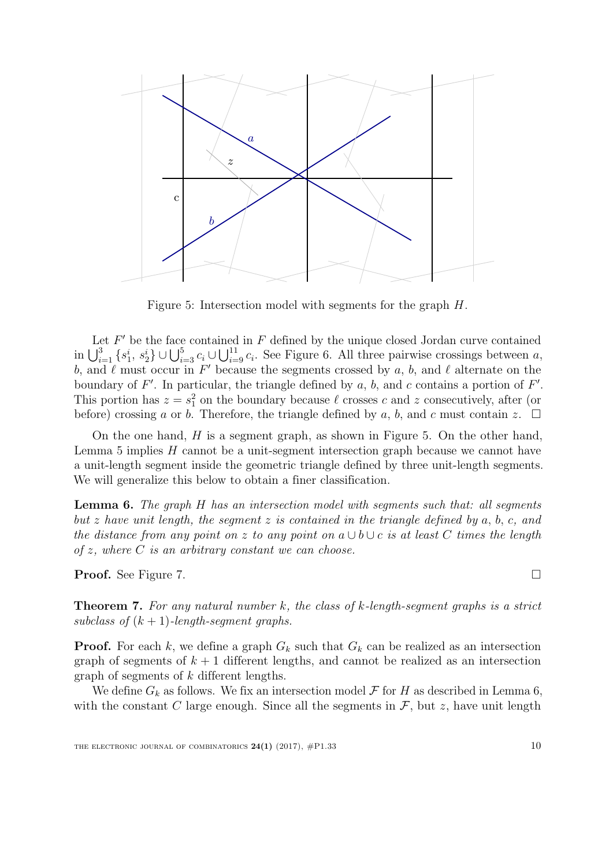

<span id="page-9-0"></span>Figure 5: Intersection model with segments for the graph H.

Let  $F'$  be the face contained in  $F$  defined by the unique closed Jordan curve contained in  $\bigcup_{i=1}^3 \{s_1^i, s_2^i\} \cup \bigcup_{i=3}^5 c_i \cup \bigcup_{i=9}^{11} c_i$ . See Figure [6.](#page-10-0) All three pairwise crossings between a, b, and  $\ell$  must occur in F' because the segments crossed by a, b, and  $\ell$  alternate on the boundary of  $F'$ . In particular, the triangle defined by  $a, b$ , and  $c$  contains a portion of  $F'$ . This portion has  $z = s_1^2$  on the boundary because  $\ell$  crosses c and z consecutively, after (or before) crossing a or b. Therefore, the triangle defined by a, b, and c must contain z.  $\square$ 

On the one hand,  $H$  is a segment graph, as shown in Figure [5.](#page-9-0) On the other hand, Lemma [5](#page-8-1) implies  $H$  cannot be a unit-segment intersection graph because we cannot have a unit-length segment inside the geometric triangle defined by three unit-length segments. We will generalize this below to obtain a finer classification.

<span id="page-9-1"></span>Lemma 6. The graph H has an intersection model with segments such that: all segments but z have unit length, the segment z is contained in the triangle defined by  $a, b, c, and$ the distance from any point on z to any point on  $a \cup b \cup c$  is at least C times the length of z, where  $C$  is an arbitrary constant we can choose.

Proof. See Figure [7.](#page-10-1) □

**Theorem 7.** For any natural number k, the class of k-length-seqment graphs is a strict subclass of  $(k + 1)$ -length-segment graphs.

**Proof.** For each k, we define a graph  $G_k$  such that  $G_k$  can be realized as an intersection graph of segments of  $k + 1$  different lengths, and cannot be realized as an intersection graph of segments of k different lengths.

We define  $G_k$  as follows. We fix an intersection model  $\mathcal F$  for H as described in Lemma [6,](#page-9-1) with the constant C large enough. Since all the segments in  $\mathcal{F}$ , but z, have unit length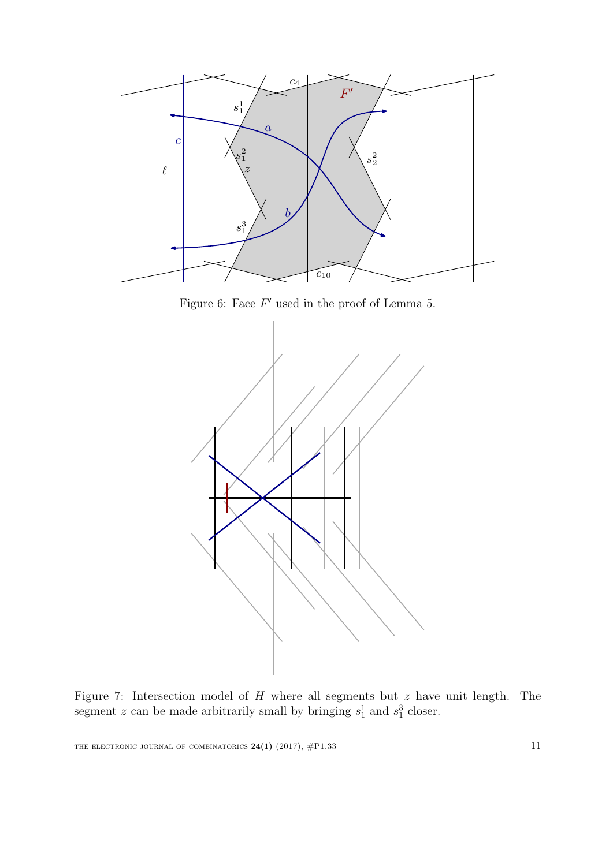

<span id="page-10-0"></span>Figure 6: Face  $F'$  used in the proof of Lemma [5.](#page-8-1)



<span id="page-10-1"></span>Figure 7: Intersection model of  $H$  where all segments but  $z$  have unit length. The segment z can be made arbitrarily small by bringing  $s_1^1$  and  $s_1^3$  closer.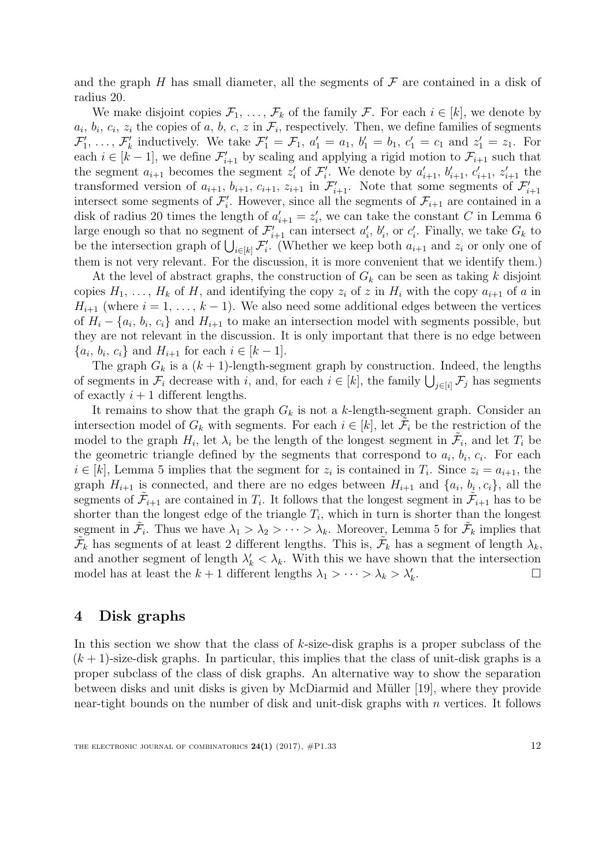and the graph H has small diameter, all the segments of  $\mathcal F$  are contained in a disk of radius 20.

We make disjoint copies  $\mathcal{F}_1, \ldots, \mathcal{F}_k$  of the family  $\mathcal{F}$ . For each  $i \in [k]$ , we denote by  $a_i, b_i, c_i, z_i$  the copies of a, b, c, z in  $\mathcal{F}_i$ , respectively. Then, we define families of segments  $\mathcal{F}_1', \ldots, \mathcal{F}_k'$  inductively. We take  $\mathcal{F}_1' = \mathcal{F}_1$ ,  $a_1' = a_1$ ,  $b_1' = b_1$ ,  $c_1' = c_1$  and  $z_1' = z_1$ . For each  $i \in [k-1]$ , we define  $\mathcal{F}'_{i+1}$  by scaling and applying a rigid motion to  $\mathcal{F}_{i+1}$  such that the segment  $a_{i+1}$  becomes the segment  $z_i'$  of  $\mathcal{F}_i'$ . We denote by  $a'_{i+1}$ ,  $b'_{i+1}$ ,  $c'_{i+1}$ ,  $z'_{i+1}$  the transformed version of  $a_{i+1}, b_{i+1}, c_{i+1}, z_{i+1}$  in  $\mathcal{F}'_{i+1}$ . Note that some segments of  $\mathcal{F}'_{i+1}$ intersect some segments of  $\mathcal{F}'_i$ . However, since all the segments of  $\mathcal{F}_{i+1}$  are contained in a disk of radius 20 times the length of  $a'_{i+1} = z'_{i}$ , we can take the constant C in Lemma [6](#page-9-1) large enough so that no segment of  $\mathcal{F}'_{i+1}$  can intersect  $a'_i$ ,  $b'_i$ , or  $c'_i$ . Finally, we take  $G_k$  to be the intersection graph of  $\bigcup_{i\in[k]} \mathcal{F}'_i$ . (Whether we keep both  $a_{i+1}$  and  $z_i$  or only one of them is not very relevant. For the discussion, it is more convenient that we identify them.)

At the level of abstract graphs, the construction of  $G_k$  can be seen as taking k disjoint copies  $H_1, \ldots, H_k$  of H, and identifying the copy  $z_i$  of z in  $H_i$  with the copy  $a_{i+1}$  of a in  $H_{i+1}$  (where  $i = 1, \ldots, k-1$ ). We also need some additional edges between the vertices of  $H_i - \{a_i, b_i, c_i\}$  and  $H_{i+1}$  to make an intersection model with segments possible, but they are not relevant in the discussion. It is only important that there is no edge between  $\{a_i, b_i, c_i\}$  and  $H_{i+1}$  for each  $i \in [k-1]$ .

The graph  $G_k$  is a  $(k + 1)$ -length-segment graph by construction. Indeed, the lengths of segments in  $\mathcal{F}_i$  decrease with i, and, for each  $i \in [k]$ , the family  $\bigcup_{j \in [i]} \mathcal{F}_j$  has segments of exactly  $i + 1$  different lengths.

It remains to show that the graph  $G_k$  is not a k-length-segment graph. Consider an intersection model of  $G_k$  with segments. For each  $i \in [k]$ , let  $\tilde{\mathcal{F}}_i$  be the restriction of the model to the graph  $H_i$ , let  $\lambda_i$  be the length of the longest segment in  $\tilde{\mathcal{F}}_i$ , and let  $T_i$  be the geometric triangle defined by the segments that correspond to  $a_i, b_i, c_i$ . For each  $i \in [k]$ , Lemma [5](#page-8-1) implies that the segment for  $z_i$  is contained in  $T_i$ . Since  $z_i = a_{i+1}$ , the graph  $H_{i+1}$  is connected, and there are no edges between  $H_{i+1}$  and  $\{a_i, b_i, c_i\}$ , all the segments of  $\tilde{\mathcal{F}}_{i+1}$  are contained in  $T_i$ . It follows that the longest segment in  $\tilde{\mathcal{F}}_{i+1}$  has to be shorter than the longest edge of the triangle  $T_i$ , which in turn is shorter than the longest segment in  $\tilde{\mathcal{F}}_i$ . Thus we have  $\lambda_1 > \lambda_2 > \cdots > \lambda_k$ . Moreover, Lemma [5](#page-8-1) for  $\tilde{\mathcal{F}}_k$  implies that  $\tilde{\mathcal{F}}_k$  has segments of at least 2 different lengths. This is,  $\tilde{\mathcal{F}}_k$  has a segment of length  $\lambda_k$ , and another segment of length  $\lambda'_k < \lambda_k$ . With this we have shown that the intersection model has at least the  $k + 1$  different lengths  $\lambda_1 > \cdots > \lambda_k > \lambda'_k$ .

## <span id="page-11-0"></span>4 Disk graphs

In this section we show that the class of  $k$ -size-disk graphs is a proper subclass of the  $(k + 1)$ -size-disk graphs. In particular, this implies that the class of unit-disk graphs is a proper subclass of the class of disk graphs. An alternative way to show the separation between disks and unit disks is given by McDiarmid and M¨uller [\[19\]](#page-17-15), where they provide near-tight bounds on the number of disk and unit-disk graphs with  $n$  vertices. It follows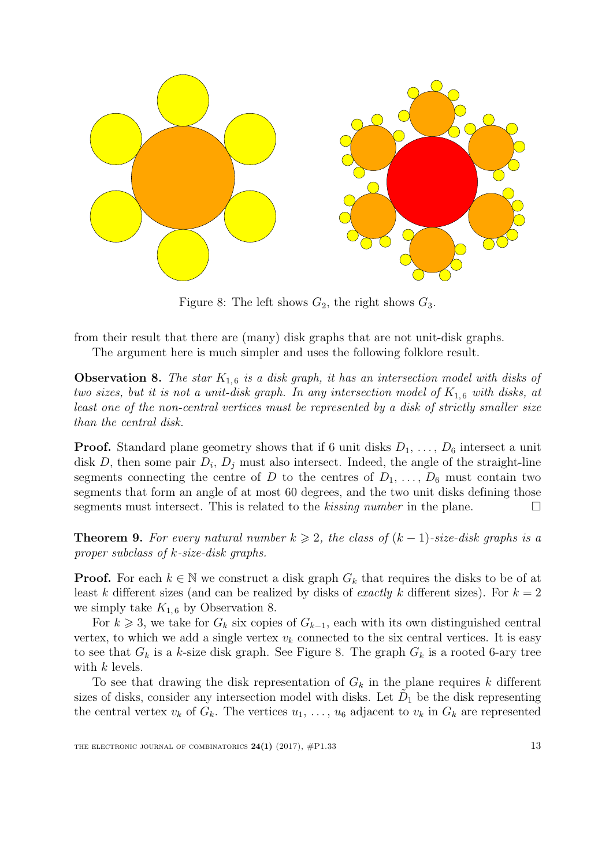

<span id="page-12-1"></span>Figure 8: The left shows  $G_2$ , the right shows  $G_3$ .

from their result that there are (many) disk graphs that are not unit-disk graphs. The argument here is much simpler and uses the following folklore result.

<span id="page-12-0"></span>**Observation 8.** The star  $K_{1,6}$  is a disk graph, it has an intersection model with disks of two sizes, but it is not a unit-disk graph. In any intersection model of  $K_{1,6}$  with disks, at least one of the non-central vertices must be represented by a disk of strictly smaller size than the central disk.

**Proof.** Standard plane geometry shows that if 6 unit disks  $D_1, \ldots, D_6$  intersect a unit disk D, then some pair  $D_i$ ,  $D_j$  must also intersect. Indeed, the angle of the straight-line segments connecting the centre of D to the centres of  $D_1, \ldots, D_6$  must contain two segments that form an angle of at most 60 degrees, and the two unit disks defining those segments must intersect. This is related to the *kissing number* in the plane.

**Theorem 9.** For every natural number  $k \geq 2$ , the class of  $(k-1)$ -size-disk graphs is a proper subclass of k-size-disk graphs.

**Proof.** For each  $k \in \mathbb{N}$  we construct a disk graph  $G_k$  that requires the disks to be of at least k different sizes (and can be realized by disks of exactly k different sizes). For  $k = 2$ we simply take  $K_{1,6}$  by Observation [8.](#page-12-0)

For  $k \geq 3$ , we take for  $G_k$  six copies of  $G_{k-1}$ , each with its own distinguished central vertex, to which we add a single vertex  $v_k$  connected to the six central vertices. It is easy to see that  $G_k$  is a k-size disk graph. See Figure [8.](#page-12-1) The graph  $G_k$  is a rooted 6-ary tree with  $k$  levels.

To see that drawing the disk representation of  $G_k$  in the plane requires k different sizes of disks, consider any intersection model with disks. Let  $\tilde{D}_1$  be the disk representing the central vertex  $v_k$  of  $G_k$ . The vertices  $u_1, \ldots, u_6$  adjacent to  $v_k$  in  $G_k$  are represented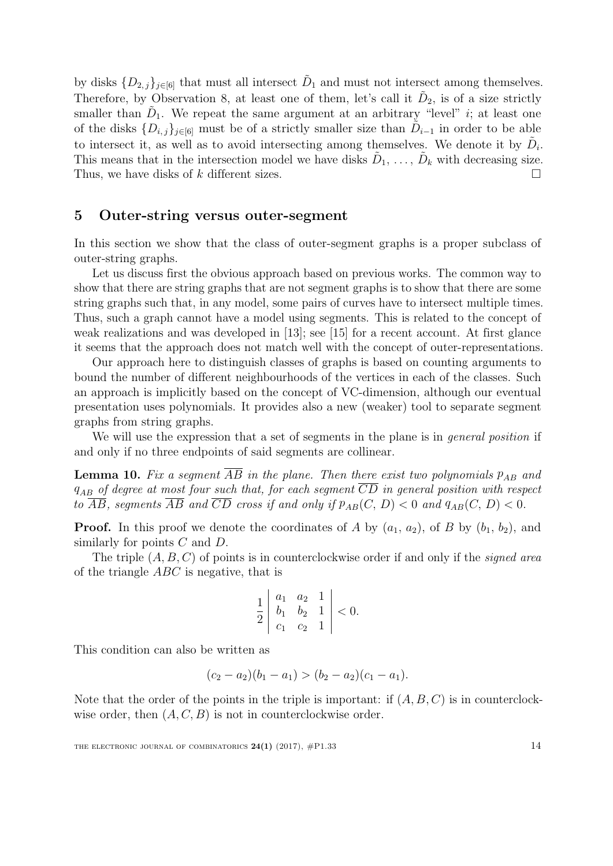by disks  $\{D_{2,j}\}_{j\in[6]}$  that must all intersect  $\tilde{D}_1$  and must not intersect among themselves. Therefore, by Observation [8,](#page-12-0) at least one of them, let's call it  $D_2$ , is of a size strictly smaller than  $D_1$ . We repeat the same argument at an arbitrary "level" *i*; at least one of the disks  $\{D_{i,j}\}_{j\in[6]}$  must be of a strictly smaller size than  $\tilde{D}_{i-1}$  in order to be able to intersect it, as well as to avoid intersecting among themselves. We denote it by  $\tilde{D}_i$ . This means that in the intersection model we have disks  $\tilde{D}_1, \ldots, \tilde{D}_k$  with decreasing size. Thus, we have disks of k different sizes.

#### <span id="page-13-0"></span>5 Outer-string versus outer-segment

In this section we show that the class of outer-segment graphs is a proper subclass of outer-string graphs.

Let us discuss first the obvious approach based on previous works. The common way to show that there are string graphs that are not segment graphs is to show that there are some string graphs such that, in any model, some pairs of curves have to intersect multiple times. Thus, such a graph cannot have a model using segments. This is related to the concept of weak realizations and was developed in [\[13\]](#page-17-3); see [\[15\]](#page-17-5) for a recent account. At first glance it seems that the approach does not match well with the concept of outer-representations.

Our approach here to distinguish classes of graphs is based on counting arguments to bound the number of different neighbourhoods of the vertices in each of the classes. Such an approach is implicitly based on the concept of VC-dimension, although our eventual presentation uses polynomials. It provides also a new (weaker) tool to separate segment graphs from string graphs.

We will use the expression that a set of segments in the plane is in *general position* if and only if no three endpoints of said segments are collinear.

<span id="page-13-1"></span>**Lemma 10.** Fix a segment  $\overline{AB}$  in the plane. Then there exist two polynomials  $p_{AB}$  and  $q_{AB}$  of degree at most four such that, for each segment  $\overline{CD}$  in general position with respect to  $\overline{AB}$ , segments  $\overline{AB}$  and  $\overline{CD}$  cross if and only if  $p_{AB}(C, D) < 0$  and  $q_{AB}(C, D) < 0$ .

**Proof.** In this proof we denote the coordinates of A by  $(a_1, a_2)$ , of B by  $(b_1, b_2)$ , and similarly for points  $C$  and  $D$ .

The triple  $(A, B, C)$  of points is in counterclockwise order if and only if the *signed area* of the triangle ABC is negative, that is

$$
\frac{1}{2} \begin{vmatrix} a_1 & a_2 & 1 \\ b_1 & b_2 & 1 \\ c_1 & c_2 & 1 \end{vmatrix} < 0.
$$

This condition can also be written as

$$
(c_2-a_2)(b_1-a_1)>(b_2-a_2)(c_1-a_1).
$$

Note that the order of the points in the triple is important: if  $(A, B, C)$  is in counterclockwise order, then  $(A, C, B)$  is not in counterclockwise order.

THE ELECTRONIC JOURNAL OF COMBINATORICS  $24(1)$  (2017),  $\#P1.33$  14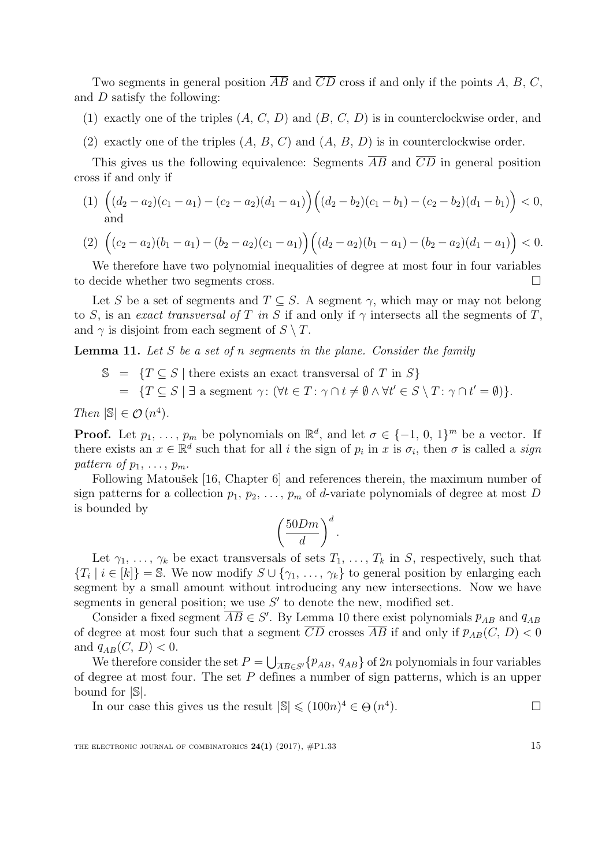Two segments in general position  $\overline{AB}$  and  $\overline{CD}$  cross if and only if the points A, B, C, and D satisfy the following:

- (1) exactly one of the triples  $(A, C, D)$  and  $(B, C, D)$  is in counterclockwise order, and
- (2) exactly one of the triples  $(A, B, C)$  and  $(A, B, D)$  is in counterclockwise order.

This gives us the following equivalence: Segments  $\overline{AB}$  and  $\overline{CD}$  in general position cross if and only if

(1)  $\Big((d_2-a_2)(c_1-a_1)-(c_2-a_2)(d_1-a_1)\Big)\Big((d_2-b_2)(c_1-b_1)-(c_2-b_2)(d_1-b_1)\Big)<0,$ and

$$
(2)\ \ \left((c_2-a_2)(b_1-a_1)-(b_2-a_2)(c_1-a_1)\right)\left((d_2-a_2)(b_1-a_1)-(b_2-a_2)(d_1-a_1)\right)<0.
$$

We therefore have two polynomial inequalities of degree at most four in four variables to decide whether two segments cross.

Let S be a set of segments and  $T \subseteq S$ . A segment  $\gamma$ , which may or may not belong to S, is an exact transversal of T in S if and only if  $\gamma$  intersects all the segments of T, and  $\gamma$  is disjoint from each segment of  $S \setminus T$ .

<span id="page-14-0"></span>**Lemma 11.** Let S be a set of n segments in the plane. Consider the family

$$
\mathbb{S} = \{ T \subseteq S \mid \text{there exists an exact transversal of } T \text{ in } S \} = \{ T \subseteq S \mid \exists \text{ a segment } \gamma \colon (\forall t \in T \colon \gamma \cap t \neq \emptyset \land \forall t' \in S \setminus T \colon \gamma \cap t' = \emptyset) \}.
$$

Then  $|\mathbb{S}| \in \mathcal{O}(n^4)$ .

**Proof.** Let  $p_1, \ldots, p_m$  be polynomials on  $\mathbb{R}^d$ , and let  $\sigma \in \{-1, 0, 1\}^m$  be a vector. If there exists an  $x \in \mathbb{R}^d$  such that for all i the sign of  $p_i$  in x is  $\sigma_i$ , then  $\sigma$  is called a *sign* pattern of  $p_1, \ldots, p_m$ .

Following Matoušek [\[16,](#page-17-16) Chapter 6] and references therein, the maximum number of sign patterns for a collection  $p_1, p_2, \ldots, p_m$  of d-variate polynomials of degree at most D is bounded by

$$
\left(\frac{50Dm}{d}\right)^d.
$$

Let  $\gamma_1, \ldots, \gamma_k$  be exact transversals of sets  $T_1, \ldots, T_k$  in S, respectively, such that  ${T_i \mid i \in [k]}$  = S. We now modify  $S \cup \{\gamma_1, \ldots, \gamma_k\}$  to general position by enlarging each segment by a small amount without introducing any new intersections. Now we have segments in general position; we use  $S'$  to denote the new, modified set.

Consider a fixed segment  $\overline{AB} \in S'$ . By Lemma [10](#page-13-1) there exist polynomials  $p_{AB}$  and  $q_{AB}$ of degree at most four such that a segment  $\overline{CD}$  crosses  $\overline{AB}$  if and only if  $p_{AB}(C, D) < 0$ and  $q_{AB}(C, D) < 0$ .

We therefore consider the set  $P = \bigcup_{AB \in S'} \{p_{AB}, q_{AB}\}$  of 2n polynomials in four variables of degree at most four. The set P defines a number of sign patterns, which is an upper bound for <sup>|</sup>S|.

In our case this gives us the result  $|\mathbb{S}| \leq (100n)^4 \in \Theta(n^4)$  $\Box$ 

THE ELECTRONIC JOURNAL OF COMBINATORICS  $24(1)$  (2017),  $\#P1.33$  15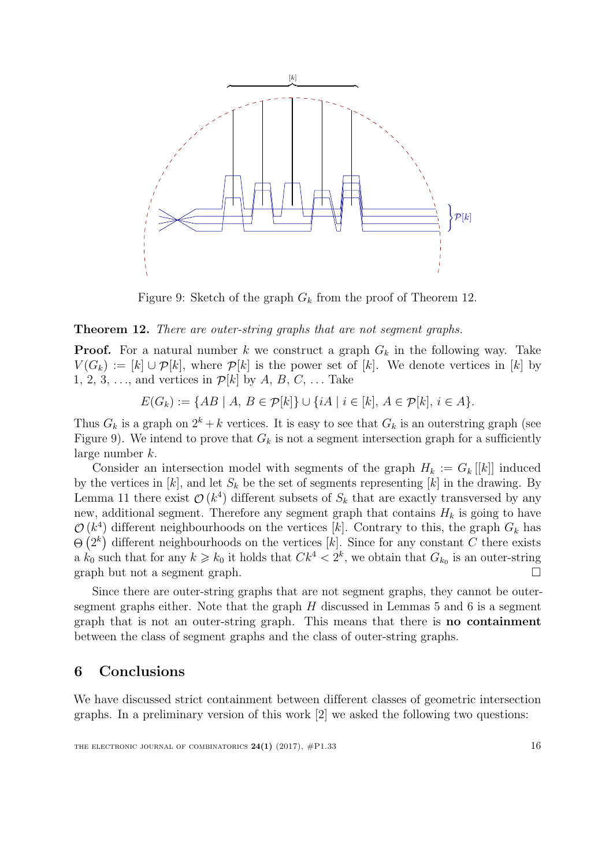

<span id="page-15-1"></span>Figure 9: Sketch of the graph  $G_k$  from the proof of Theorem [12.](#page-15-0)

#### <span id="page-15-0"></span>Theorem 12. There are outer-string graphs that are not segment graphs.

**Proof.** For a natural number k we construct a graph  $G_k$  in the following way. Take  $V(G_k) := [k] \cup \mathcal{P}[k]$ , where  $\mathcal{P}[k]$  is the power set of [k]. We denote vertices in [k] by 1, 2, 3, ..., and vertices in  $\mathcal{P}[k]$  by A, B, C, ... Take

$$
E(G_k) := \{ AB \mid A, B \in \mathcal{P}[k] \} \cup \{ iA \mid i \in [k], A \in \mathcal{P}[k], i \in A \}.
$$

Thus  $G_k$  is a graph on  $2^k + k$  vertices. It is easy to see that  $G_k$  is an outerstring graph (see Figure [9\)](#page-15-1). We intend to prove that  $G_k$  is not a segment intersection graph for a sufficiently large number k.

Consider an intersection model with segments of the graph  $H_k := G_k[[k]]$  induced by the vertices in  $[k]$ , and let  $S_k$  be the set of segments representing  $[k]$  in the drawing. By Lemma [11](#page-14-0) there exist  $\mathcal{O}(k^4)$  different subsets of  $S_k$  that are exactly transversed by any new, additional segment. Therefore any segment graph that contains  $H_k$  is going to have  $\mathcal{O}(k^4)$  different neighbourhoods on the vertices  $[k]$ . Contrary to this, the graph  $G_k$  has  $\Theta\left(2^{k}\right)$  different neighbourhoods on the vertices  $[k]$ . Since for any constant C there exists a  $k_0$  such that for any  $k \geq k_0$  it holds that  $C k^4 < 2^k$ , we obtain that  $G_{k_0}$  is an outer-string graph but not a segment graph.

Since there are outer-string graphs that are not segment graphs, they cannot be outersegment graphs either. Note that the graph  $H$  discussed in Lemmas [5](#page-8-1) and [6](#page-9-1) is a segment graph that is not an outer-string graph. This means that there is no containment between the class of segment graphs and the class of outer-string graphs.

## 6 Conclusions

We have discussed strict containment between different classes of geometric intersection graphs. In a preliminary version of this work [\[2\]](#page-16-4) we asked the following two questions: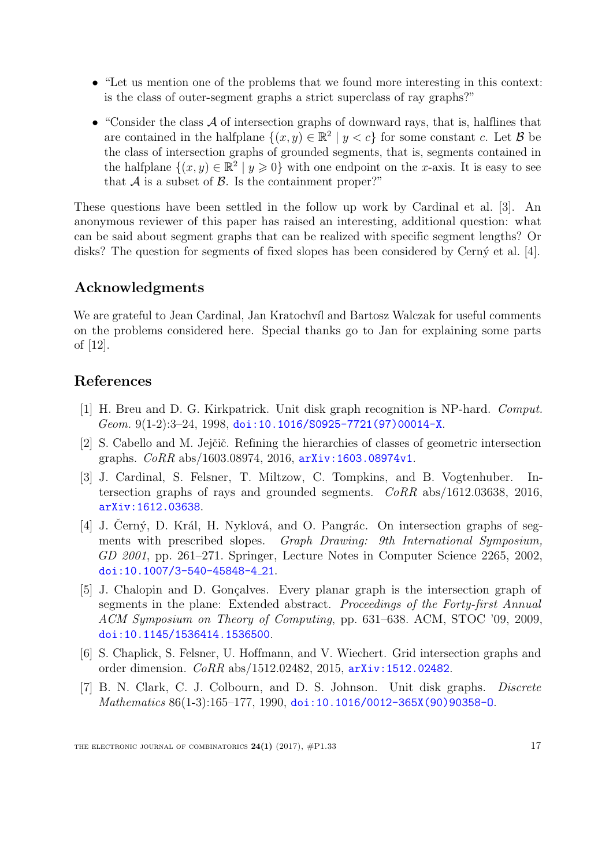- "Let us mention one of the problems that we found more interesting in this context: is the class of outer-segment graphs a strict superclass of ray graphs?"
- "Consider the class  $A$  of intersection graphs of downward rays, that is, halflines that are contained in the halfplane  $\{(x, y) \in \mathbb{R}^2 \mid y < c\}$  for some constant c. Let  $\mathcal{B}$  be the class of intersection graphs of grounded segments, that is, segments contained in the halfplane  $\{(x, y) \in \mathbb{R}^2 \mid y \geqslant 0\}$  with one endpoint on the x-axis. It is easy to see that  $A$  is a subset of  $B$ . Is the containment proper?"

These questions have been settled in the follow up work by Cardinal et al. [\[3\]](#page-16-5). An anonymous reviewer of this paper has raised an interesting, additional question: what can be said about segment graphs that can be realized with specific segment lengths? Or disks? The question for segments of fixed slopes has been considered by Cern $\acute{y}$  et al. [\[4\]](#page-16-6).

# Acknowledgments

We are grateful to Jean Cardinal, Jan Kratochvíl and Bartosz Walczak for useful comments on the problems considered here. Special thanks go to Jan for explaining some parts of [\[12\]](#page-17-10).

# References

- <span id="page-16-1"></span>[1] H. Breu and D. G. Kirkpatrick. Unit disk graph recognition is NP-hard. Comput. Geom.  $9(1-2):3-24, 1998, \text{doi: }10.1016/S0925-7721(97)00014-X.$
- <span id="page-16-4"></span>[2] S. Cabello and M. Jejčič. Refining the hierarchies of classes of geometric intersection graphs. CoRR abs/1603.08974, 2016, [arXiv:1603.08974v1](http://arxiv.org/abs/1603.08974v1).
- <span id="page-16-5"></span>[3] J. Cardinal, S. Felsner, T. Miltzow, C. Tompkins, and B. Vogtenhuber. Intersection graphs of rays and grounded segments. CoRR abs/1612.03638, 2016, [arXiv:1612.03638](http://arxiv.org/abs/1612.03638).
- <span id="page-16-6"></span>[4] J. Cerný, D. Král, H. Nyklová, and O. Pangrác. On intersection graphs of segments with prescribed slopes. Graph Drawing: 9th International Symposium, GD 2001, pp. 261–271. Springer, Lecture Notes in Computer Science 2265, 2002, [doi:10.1007/3-540-45848-4](http://dx.doi.org/10.1007/3-540-45848-4_21) 21.
- <span id="page-16-0"></span>[5] J. Chalopin and D. Gonçalves. Every planar graph is the intersection graph of segments in the plane: Extended abstract. Proceedings of the Forty-first Annual ACM Symposium on Theory of Computing, pp. 631–638. ACM, STOC '09, 2009, [doi:10.1145/1536414.1536500](http://dx.doi.org/10.1145/1536414.1536500).
- <span id="page-16-3"></span>[6] S. Chaplick, S. Felsner, U. Hoffmann, and V. Wiechert. Grid intersection graphs and order dimension. CoRR abs/1512.02482, 2015, [arXiv:1512.02482](http://arxiv.org/abs/1512.02482).
- <span id="page-16-2"></span>[7] B. N. Clark, C. J. Colbourn, and D. S. Johnson. Unit disk graphs. Discrete Mathematics 86(1-3):165–177, 1990, [doi:10.1016/0012-365X\(90\)90358-O](http://dx.doi.org/10.1016/0012-365X(90)90358-O).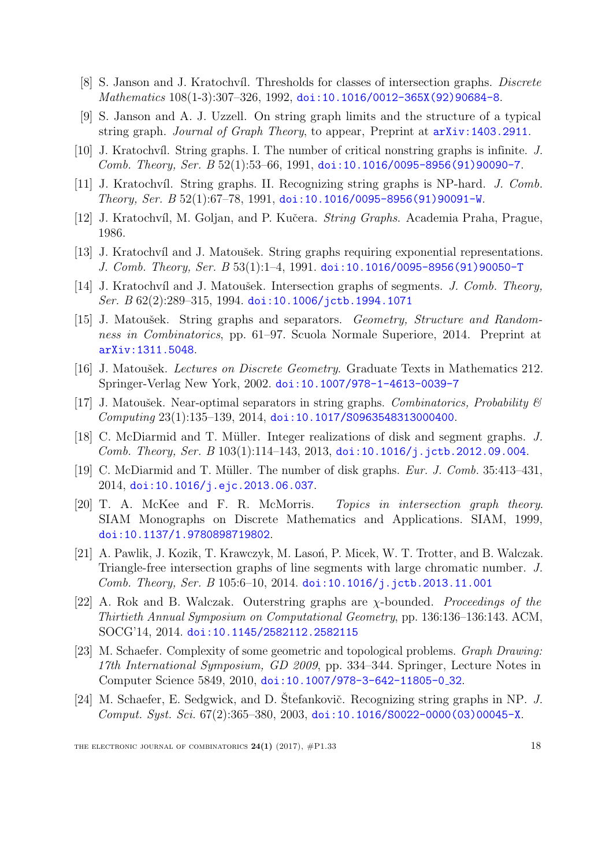- <span id="page-17-9"></span>[8] S. Janson and J. Kratochvíl. Thresholds for classes of intersection graphs. Discrete Mathematics 108(1-3):307–326, 1992, [doi:10.1016/0012-365X\(92\)90684-8](http://dx.doi.org/10.1016/0012-365X(92)90684-8).
- <span id="page-17-11"></span>[9] S. Janson and A. J. Uzzell. On string graph limits and the structure of a typical string graph. Journal of Graph Theory, to appear, Preprint at [arXiv:1403.2911](http://arxiv.org/abs/1403.2911).
- <span id="page-17-1"></span>[10] J. Kratochvíl. String graphs. I. The number of critical nonstring graphs is infinite. J. Comb. Theory, Ser. B  $52(1):53-66, 1991, \text{doi: }10.1016/0095-8956(91)90090-7.$
- <span id="page-17-2"></span>[11] J. Kratochv´ıl. String graphs. II. Recognizing string graphs is NP-hard. J. Comb. Theory, Ser. B 52(1):67–78, 1991, [doi:10.1016/0095-8956\(91\)90091-W](http://dx.doi.org/10.1016/0095-8956(91)90091-W).
- <span id="page-17-10"></span>[12] J. Kratochvíl, M. Goljan, and P. Kučera. *String Graphs*. Academia Praha, Prague, 1986.
- <span id="page-17-3"></span>[13] J. Kratochvíl and J. Matoušek. String graphs requiring exponential representations. J. Comb. Theory, Ser. B 53(1):1–4, 1991. [doi:10.1016/0095-8956\(91\)90050-T](http://dx.doi.org/10.1016/0095-8956(91)90050-T)
- <span id="page-17-7"></span>[14] J. Kratochvíl and J. Matoušek. Intersection graphs of segments. J. Comb. Theory, Ser. B 62(2):289–315, 1994. [doi:10.1006/jctb.1994.1071](http://dx.doi.org/10.1006/jctb.1994.1071)
- <span id="page-17-5"></span>[15] J. Matoušek. String graphs and separators. Geometry, Structure and Randomness in Combinatorics, pp. 61–97. Scuola Normale Superiore, 2014. Preprint at [arXiv:1311.5048](http://arxiv.org/abs/1311.5048).
- <span id="page-17-16"></span>[16] J. Matoušek. Lectures on Discrete Geometry. Graduate Texts in Mathematics 212. Springer-Verlag New York, 2002. [doi:10.1007/978-1-4613-0039-7](http://dx.doi.org/10.1007/978-1-4613-0039-7)
- <span id="page-17-4"></span>[17] J. Matoušek. Near-optimal separators in string graphs. Combinatorics, Probability  $\mathscr B$ Computing 23(1):135–139, 2014, [doi:10.1017/S0963548313000400](http://dx.doi.org/10.1017/S0963548313000400).
- <span id="page-17-8"></span>[18] C. McDiarmid and T. Müller. Integer realizations of disk and segment graphs. J. Comb. Theory, Ser. B 103(1):114–143, 2013, [doi:10.1016/j.jctb.2012.09.004](http://dx.doi.org/10.1016/j.jctb.2012.09.004).
- <span id="page-17-15"></span>[19] C. McDiarmid and T. Müller. The number of disk graphs. *Eur. J. Comb.* 35:413–431, 2014, [doi:10.1016/j.ejc.2013.06.037](http://dx.doi.org/10.1016/j.ejc.2013.06.037).
- <span id="page-17-0"></span>[20] T. A. McKee and F. R. McMorris. Topics in intersection graph theory. SIAM Monographs on Discrete Mathematics and Applications. SIAM, 1999, [doi:10.1137/1.9780898719802](http://dx.doi.org/10.1137/1.9780898719802).
- <span id="page-17-13"></span>[21] A. Pawlik, J. Kozik, T. Krawczyk, M. Lasoń, P. Micek, W. T. Trotter, and B. Walczak. Triangle-free intersection graphs of line segments with large chromatic number. J. Comb. Theory, Ser. B 105:6–10, 2014. [doi:10.1016/j.jctb.2013.11.001](http://dx.doi.org/10.1016/j.jctb.2013.11.001)
- <span id="page-17-12"></span>[22] A. Rok and B. Walczak. Outerstring graphs are χ-bounded. Proceedings of the Thirtieth Annual Symposium on Computational Geometry, pp. 136:136–136:143. ACM, SOCG'14, 2014. [doi:10.1145/2582112.2582115](http://dx.doi.org/10.1145/2582112.2582115)
- <span id="page-17-14"></span>[23] M. Schaefer. Complexity of some geometric and topological problems. Graph Drawing: 17th International Symposium, GD 2009, pp. 334–344. Springer, Lecture Notes in Computer Science 5849, 2010, [doi:10.1007/978-3-642-11805-0](http://dx.doi.org/10.1007/978-3-642-11805-0_32) 32.
- <span id="page-17-6"></span>[24] M. Schaefer, E. Sedgwick, and D. Stefankovič. Recognizing string graphs in NP. J. Comput. Syst. Sci. 67(2):365–380, 2003, [doi:10.1016/S0022-0000\(03\)00045-X](http://dx.doi.org/10.1016/S0022-0000(03)00045-X).